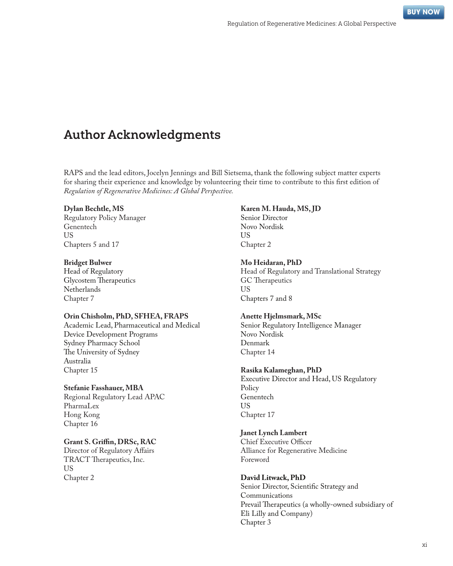# Author Acknowledgments

RAPS and the lead editors, Jocelyn Jennings and Bill Sietsema, thank the following subject matter experts for sharing their experience and knowledge by volunteering their time to contribute to this first edition of *Regulation of Regenerative Medicines: A Global Perspective.*

## **Dylan Bechtle, MS**

Regulatory Policy Manager Genentech US Chapters 5 and 17

#### **Bridget Bulwer**

Head of Regulatory Glycostem Therapeutics Netherlands Chapter 7

## **Orin Chisholm, PhD, SFHEA, FRAPS**

Academic Lead, Pharmaceutical and Medical Device Development Programs Sydney Pharmacy School The University of Sydney Australia Chapter 15

## **Stefanie Fasshauer, MBA**

Regional Regulatory Lead APAC PharmaLex Hong Kong Chapter 16

## **Grant S. Griffin, DRSc, RAC**

Director of Regulatory Affairs TRACT Therapeutics, Inc. US Chapter 2

#### **Karen M. Hauda, MS, JD**

Senior Director Novo Nordisk US Chapter 2

#### **Mo Heidaran, PhD**

Head of Regulatory and Translational Strategy GC Therapeutics US Chapters 7 and 8

#### **Anette Hjelmsmark, MSc**

Senior Regulatory Intelligence Manager Novo Nordisk Denmark Chapter 14

#### **Rasika Kalameghan, PhD**

Executive Director and Head, US Regulatory Policy Genentech US Chapter 17

## **Janet Lynch Lambert**

Chief Executive Officer Alliance for Regenerative Medicine Foreword

## **David Litwack, PhD**

Senior Director, Scientific Strategy and Communications Prevail Therapeutics (a wholly-owned subsidiary of Eli Lilly and Company) Chapter 3